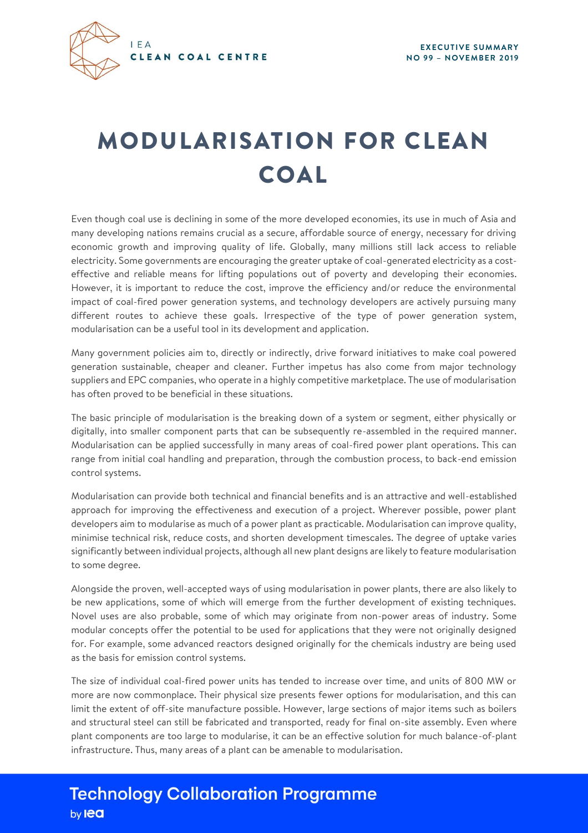

## MODUL ARISATION FOR CLEAN COAL

Even though coal use is declining in some of the more developed economies, its use in much of Asia and many developing nations remains crucial as a secure, affordable source of energy, necessary for driving economic growth and improving quality of life. Globally, many millions still lack access to reliable electricity. Some governments are encouraging the greater uptake of coal-generated electricity as a costeffective and reliable means for lifting populations out of poverty and developing their economies. However, it is important to reduce the cost, improve the efficiency and/or reduce the environmental impact of coal-fired power generation systems, and technology developers are actively pursuing many different routes to achieve these goals. Irrespective of the type of power generation system, modularisation can be a useful tool in its development and application.

Many government policies aim to, directly or indirectly, drive forward initiatives to make coal powered generation sustainable, cheaper and cleaner. Further impetus has also come from major technology suppliers and EPC companies, who operate in a highly competitive marketplace. The use of modularisation has often proved to be beneficial in these situations.

The basic principle of modularisation is the breaking down of a system or segment, either physically or digitally, into smaller component parts that can be subsequently re-assembled in the required manner. Modularisation can be applied successfully in many areas of coal-fired power plant operations. This can range from initial coal handling and preparation, through the combustion process, to back-end emission control systems.

Modularisation can provide both technical and financial benefits and is an attractive and well-established approach for improving the effectiveness and execution of a project. Wherever possible, power plant developers aim to modularise as much of a power plant as practicable. Modularisation can improve quality, minimise technical risk, reduce costs, and shorten development timescales. The degree of uptake varies significantly between individual projects, although all new plant designs are likely to feature modularisation to some degree.

Alongside the proven, well-accepted ways of using modularisation in power plants, there are also likely to be new applications, some of which will emerge from the further development of existing techniques. Novel uses are also probable, some of which may originate from non-power areas of industry. Some modular concepts offer the potential to be used for applications that they were not originally designed for. For example, some advanced reactors designed originally for the chemicals industry are being used as the basis for emission control systems.

The size of individual coal-fired power units has tended to increase over time, and units of 800 MW or more are now commonplace. Their physical size presents fewer options for modularisation, and this can limit the extent of off-site manufacture possible. However, large sections of major items such as boilers and structural steel can still be fabricated and transported, ready for final on-site assembly. Even where plant components are too large to modularise, it can be an effective solution for much balance-of-plant infrastructure. Thus, many areas of a plant can be amenable to modularisation.

## **Technology Collaboration Programme** by **lea**